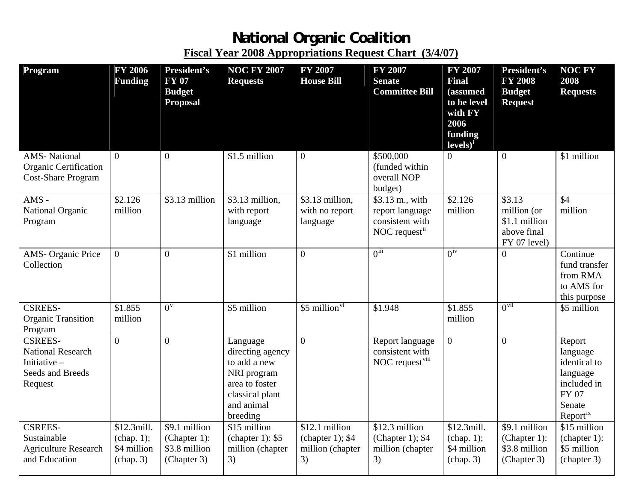## **National Organic Coalition Fiscal Year 2008 Appropriations Request Chart (3/4/07)**

| Program                                                                                     | <b>FY 2006</b><br><b>Funding</b>                     | President's<br><b>FY 07</b><br><b>Budget</b><br><b>Proposal</b>  | <b>NOC FY 2007</b><br><b>Requests</b>                                                                                      | <b>FY 2007</b><br><b>House Bill</b>                           | <b>FY 2007</b><br><b>Senate</b><br><b>Committee Bill</b>                 | <b>FY 2007</b><br><b>Final</b><br>(assumed<br>to be level<br>with FY<br>2006<br>funding<br>$levels)^{i}$ | <b>President's</b><br><b>FY 2008</b><br><b>Budget</b><br><b>Request</b>           | <b>NOC FY</b><br>2008<br><b>Requests</b>                                                                        |
|---------------------------------------------------------------------------------------------|------------------------------------------------------|------------------------------------------------------------------|----------------------------------------------------------------------------------------------------------------------------|---------------------------------------------------------------|--------------------------------------------------------------------------|----------------------------------------------------------------------------------------------------------|-----------------------------------------------------------------------------------|-----------------------------------------------------------------------------------------------------------------|
| <b>AMS-National</b><br><b>Organic Certification</b><br><b>Cost-Share Program</b>            | $\Omega$                                             | $\overline{0}$                                                   | \$1.5 million                                                                                                              | $\boldsymbol{0}$                                              | \$500,000<br>(funded within)<br>overall NOP<br>budget)                   | $\overline{0}$                                                                                           | $\overline{0}$                                                                    | \$1 million                                                                                                     |
| $AMS -$<br>National Organic<br>Program                                                      | \$2.126<br>million                                   | \$3.13 million                                                   | \$3.13 million,<br>with report<br>language                                                                                 | \$3.13 million,<br>with no report<br>language                 | \$3.13 m., with<br>report language<br>consistent with<br>NOC request $i$ | \$2.126<br>million                                                                                       | $\overline{$3.13}$<br>million (or<br>\$1.1 million<br>above final<br>FY 07 level) | $\overline{$4}$<br>million                                                                                      |
| AMS-Organic Price<br>Collection                                                             | $\overline{0}$                                       | $\theta$                                                         | \$1 million                                                                                                                | $\overline{0}$                                                | $0^{iii}$                                                                | $0^{iv}$                                                                                                 | $\Omega$                                                                          | Continue<br>fund transfer<br>from RMA<br>to AMS for<br>this purpose                                             |
| <b>CSREES-</b><br><b>Organic Transition</b><br>Program                                      | \$1.855<br>million                                   | $0^{\rm v}$                                                      | \$5 million                                                                                                                | \$5 million <sup>vi</sup>                                     | \$1.948                                                                  | \$1.855<br>million                                                                                       | $0^{vii}$                                                                         | \$5 million                                                                                                     |
| <b>CSREES-</b><br><b>National Research</b><br>Initiative $-$<br>Seeds and Breeds<br>Request | $\overline{0}$                                       | $\theta$                                                         | Language<br>directing agency<br>to add a new<br>NRI program<br>area to foster<br>classical plant<br>and animal<br>breeding | $\overline{0}$                                                | Report language<br>consistent with<br>NOC request <sup>viii</sup>        | $\boldsymbol{0}$                                                                                         | $\overline{0}$                                                                    | Report<br>language<br>identical to<br>language<br>included in<br><b>FY 07</b><br>Senate<br>Report <sup>ix</sup> |
| <b>CSREES-</b><br>Sustainable<br><b>Agriculture Research</b><br>and Education               | \$12.3mill.<br>(char 1);<br>\$4 million<br>(char, 3) | \$9.1 million<br>$(Chapter 1)$ :<br>\$3.8 million<br>(Chapter 3) | \$15 million<br>(chapter 1): $$5$<br>million (chapter<br>3)                                                                | \$12.1 million<br>(chapter 1); $$4$<br>million (chapter<br>3) | \$12.3 million<br>(Chapter 1); $$4$<br>million (chapter<br>3)            | \$12.3mill.<br>(char 1);<br>\$4 million<br>(char 3)                                                      | \$9.1 million<br>(Chapter 1):<br>\$3.8 million<br>(Chapter 3)                     | \$15 million<br>(chapter 1):<br>\$5 million<br>(chapter 3)                                                      |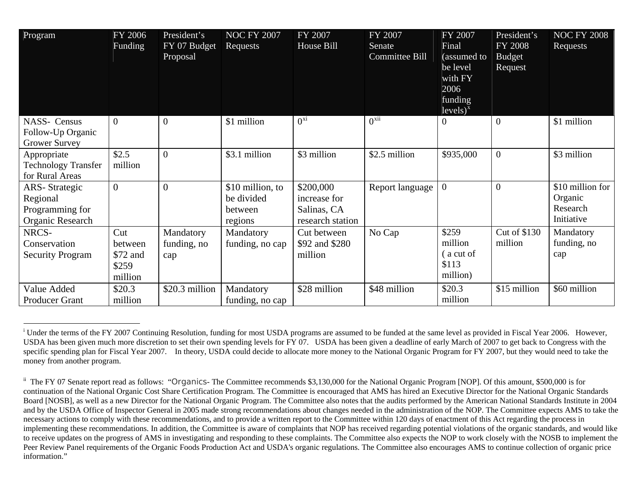| Program                                                                 | FY 2006<br>Funding                             | President's<br>FY 07 Budget<br>Proposal | NOC FY $2007$<br>Requests                            | FY 2007<br>House Bill                                        | FY 2007<br>Senate<br>Committee Bill | FY 2007<br>Final<br>(assumed to<br>be level<br>with FY<br>2006<br>funding<br>$levels)^x$ | President's<br><b>FY 2008</b><br><b>Budget</b><br>Request | <b>NOC FY 2008</b><br>Requests                        |
|-------------------------------------------------------------------------|------------------------------------------------|-----------------------------------------|------------------------------------------------------|--------------------------------------------------------------|-------------------------------------|------------------------------------------------------------------------------------------|-----------------------------------------------------------|-------------------------------------------------------|
| <b>NASS- Census</b><br>Follow-Up Organic<br><b>Grower Survey</b>        | $\overline{0}$                                 | $\theta$                                | \$1 million                                          | $0^{xi}$                                                     | $0^{xii}$                           | $\theta$                                                                                 | $\overline{0}$                                            | \$1 million                                           |
| Appropriate<br><b>Technology Transfer</b><br>for Rural Areas            | \$2.5<br>million                               | $\mathbf{0}$                            | \$3.1 million                                        | \$3 million                                                  | \$2.5 million                       | \$935,000                                                                                | $\overline{0}$                                            | \$3 million                                           |
| <b>ARS-Strategic</b><br>Regional<br>Programming for<br>Organic Research | $\overline{0}$                                 | $\overline{0}$                          | \$10 million, to<br>be divided<br>between<br>regions | \$200,000<br>increase for<br>Salinas, CA<br>research station | Report language                     | $\overline{0}$                                                                           | $\overline{0}$                                            | \$10 million for<br>Organic<br>Research<br>Initiative |
| NRCS-<br>Conservation<br><b>Security Program</b>                        | Cut<br>between<br>\$72 and<br>\$259<br>million | Mandatory<br>funding, no<br>cap         | Mandatory<br>funding, no cap                         | Cut between<br>\$92 and \$280<br>million                     | No Cap                              | \$259<br>million<br>a cut of<br>\$113<br>million)                                        | <b>Cut of \$130</b><br>million                            | Mandatory<br>funding, no<br>cap                       |
| Value Added<br><b>Producer Grant</b>                                    | \$20.3<br>million                              | \$20.3 million                          | Mandatory<br>funding, no cap                         | \$28 million                                                 | \$48 million                        | \$20.3<br>million                                                                        | \$15 million                                              | \$60 million                                          |

<sup>&</sup>lt;sup>i</sup> Under the terms of the FY 2007 Continuing Resolution, funding for most USDA programs are assumed to be funded at the same level as provided in Fiscal Year 2006. However, USDA has been given much more discretion to set their own spending levels for FY 07. USDA has been given a deadline of early March of 2007 to get back to Congress with the specific spending plan for Fiscal Year 2007. In theory, USDA could decide to allocate more money to the National Organic Program for FY 2007, but they would need to take the money from another program.

<sup>&</sup>lt;sup>ii</sup> The FY 07 Senate report read as follows: "*Organics*- The Committee recommends \$3,130,000 for the National Organic Program [NOP]. Of this amount, \$500,000 is for continuation of the National Organic Cost Share Certification Program. The Committee is encouraged that AMS has hired an Executive Director for the National Organic Standards Board [NOSB], as well as a new Director for the National Organic Program. The Committee also notes that the audits performed by the American National Standards Institute in 2004 and by the USDA Office of Inspector General in 2005 made strong recommendations about changes needed in the administration of the NOP. The Committee expects AMS to take the necessary actions to comply with these recommendations, and to provide a written report to the Committee within 120 days of enactment of this Act regarding the process in implementing these recommendations. In addition, the Committee is aware of complaints that NOP has received regarding potential violations of the organic standards, and would like to receive updates on the progress of AMS in investigating and responding to these complaints. The Committee also expects the NOP to work closely with the NOSB to implement the Peer Review Panel requirements of the Organic Foods Production Act and USDA's organic regulations. The Committee also encourages AMS to continue collection of organic price information."